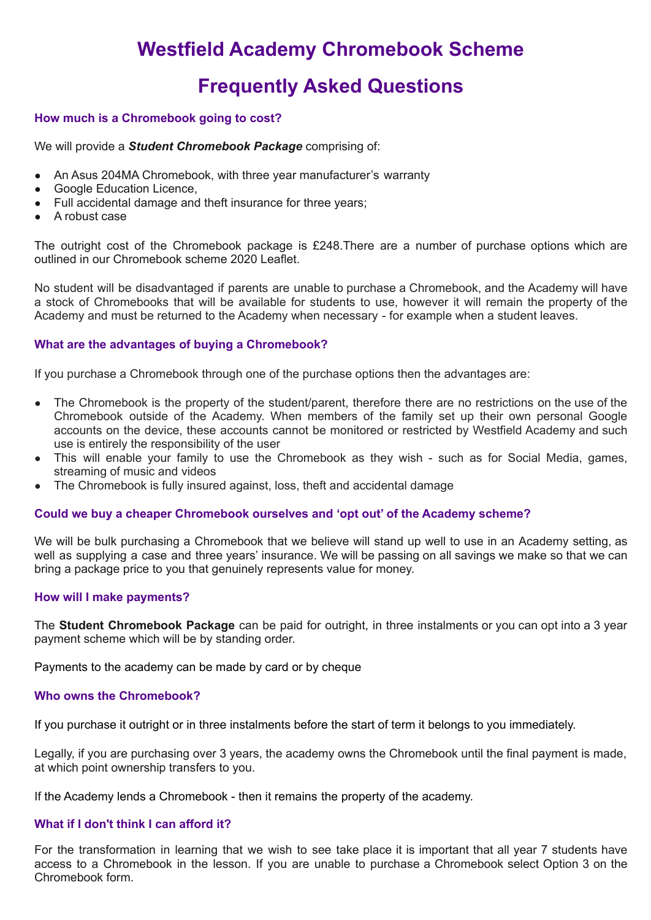# **Westfield Academy Chromebook Scheme**

# **Frequently Asked Questions**

# **How much is a Chromebook going to cost?**

We will provide a *Student Chromebook Package* comprising of:

- An Asus 204MA Chromebook, with three year manufacturer's warranty
- Google Education Licence.
- Full accidental damage and theft insurance for three years;
- A robust case

The outright cost of the Chromebook package is £248.There are a number of purchase options which are outlined in our Chromebook scheme 2020 Leaflet.

No student will be disadvantaged if parents are unable to purchase a Chromebook, and the Academy will have a stock of Chromebooks that will be available for students to use, however it will remain the property of the Academy and must be returned to the Academy when necessary - for example when a student leaves.

## **What are the advantages of buying a Chromebook?**

If you purchase a Chromebook through one of the purchase options then the advantages are:

- The Chromebook is the property of the student/parent, therefore there are no restrictions on the use of the Chromebook outside of the Academy. When members of the family set up their own personal Google accounts on the device, these accounts cannot be monitored or restricted by Westfield Academy and such use is entirely the responsibility of the user
- This will enable your family to use the Chromebook as they wish such as for Social Media, games, streaming of music and videos
- The Chromebook is fully insured against, loss, theft and accidental damage

#### **Could we buy a cheaper Chromebook ourselves and 'opt out' of the Academy scheme?**

We will be bulk purchasing a Chromebook that we believe will stand up well to use in an Academy setting, as well as supplying a case and three years' insurance. We will be passing on all savings we make so that we can bring a package price to you that genuinely represents value for money.

# **How will I make payments?**

The **Student Chromebook Package** can be paid for outright, in three instalments or you can opt into a 3 year payment scheme which will be by standing order.

Payments to the academy can be made by card or by cheque

#### **Who owns the Chromebook?**

If you purchase it outright or in three instalments before the start of term it belongs to you immediately.

Legally, if you are purchasing over 3 years, the academy owns the Chromebook until the final payment is made, at which point ownership transfers to you.

If the Academy lends a Chromebook - then it remains the property of the academy.

## **What if I don't think I can afford it?**

For the transformation in learning that we wish to see take place it is important that all year 7 students have access to a Chromebook in the lesson. If you are unable to purchase a Chromebook select Option 3 on the Chromebook form.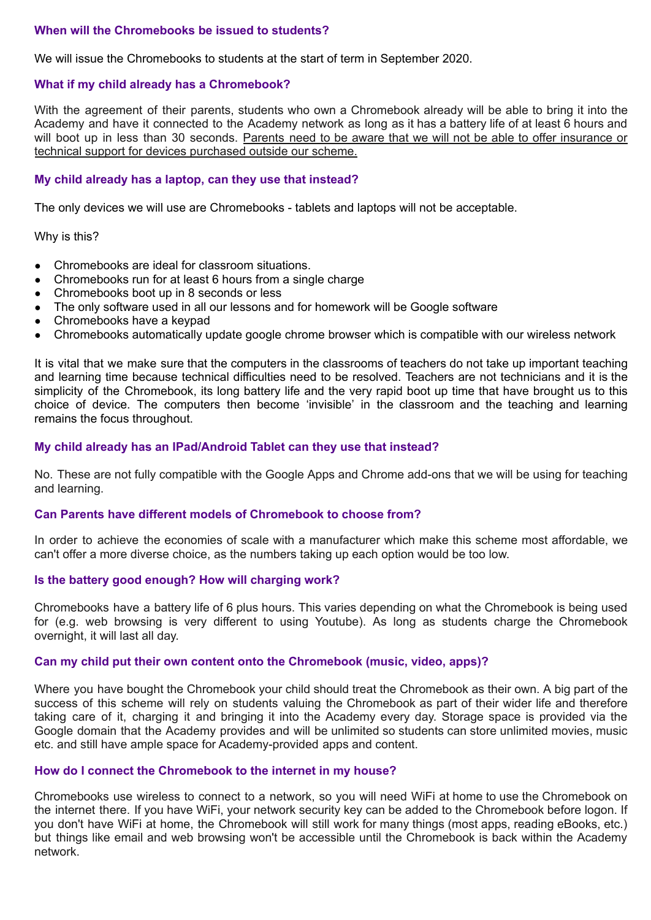# **When will the Chromebooks be issued to students?**

We will issue the Chromebooks to students at the start of term in September 2020.

## **What if my child already has a Chromebook?**

With the agreement of their parents, students who own a Chromebook already will be able to bring it into the Academy and have it connected to the Academy network as long as it has a battery life of at least 6 hours and will boot up in less than 30 seconds. Parents need to be aware that we will not be able to offer insurance or technical support for devices purchased outside our scheme.

## **My child already has a laptop, can they use that instead?**

The only devices we will use are Chromebooks - tablets and laptops will not be acceptable.

Why is this?

- Chromebooks are ideal for classroom situations.
- Chromebooks run for at least 6 hours from a single charge
- Chromebooks boot up in 8 seconds or less
- The only software used in all our lessons and for homework will be Google software
- Chromebooks have a keypad
- Chromebooks automatically update google chrome browser which is compatible with our wireless network

It is vital that we make sure that the computers in the classrooms of teachers do not take up important teaching and learning time because technical difficulties need to be resolved. Teachers are not technicians and it is the simplicity of the Chromebook, its long battery life and the very rapid boot up time that have brought us to this choice of device. The computers then become 'invisible' in the classroom and the teaching and learning remains the focus throughout.

## **My child already has an IPad/Android Tablet can they use that instead?**

No. These are not fully compatible with the Google Apps and Chrome add-ons that we will be using for teaching and learning.

## **Can Parents have different models of Chromebook to choose from?**

In order to achieve the economies of scale with a manufacturer which make this scheme most affordable, we can't offer a more diverse choice, as the numbers taking up each option would be too low.

#### **Is the battery good enough? How will charging work?**

Chromebooks have a battery life of 6 plus hours. This varies depending on what the Chromebook is being used for (e.g. web browsing is very different to using Youtube). As long as students charge the Chromebook overnight, it will last all day.

#### **Can my child put their own content onto the Chromebook (music, video, apps)?**

Where you have bought the Chromebook your child should treat the Chromebook as their own. A big part of the success of this scheme will rely on students valuing the Chromebook as part of their wider life and therefore taking care of it, charging it and bringing it into the Academy every day. Storage space is provided via the Google domain that the Academy provides and will be unlimited so students can store unlimited movies, music etc. and still have ample space for Academy-provided apps and content.

# **How do I connect the Chromebook to the internet in my house?**

Chromebooks use wireless to connect to a network, so you will need WiFi at home to use the Chromebook on the internet there. If you have WiFi, your network security key can be added to the Chromebook before logon. If you don't have WiFi at home, the Chromebook will still work for many things (most apps, reading eBooks, etc.) but things like email and web browsing won't be accessible until the Chromebook is back within the Academy network.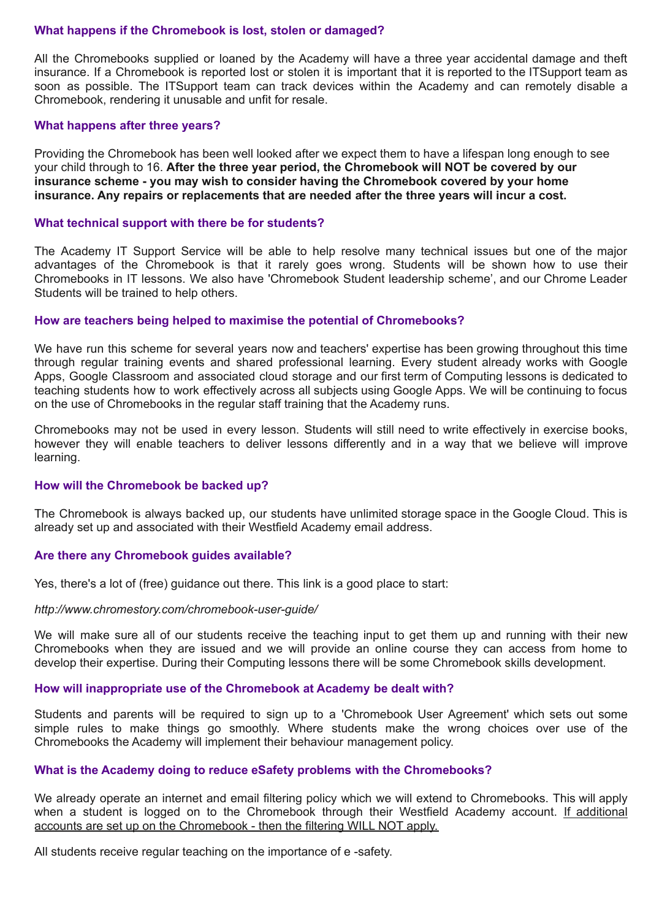#### **What happens if the Chromebook is lost, stolen or damaged?**

All the Chromebooks supplied or loaned by the Academy will have a three year accidental damage and theft insurance. If a Chromebook is reported lost or stolen it is important that it is reported to the ITSupport team as soon as possible. The ITSupport team can track devices within the Academy and can remotely disable a Chromebook, rendering it unusable and unfit for resale.

### **What happens after three years?**

Providing the Chromebook has been well looked after we expect them to have a lifespan long enough to see your child through to 16. **After the three year period, the Chromebook will NOT be covered by our insurance scheme - you may wish to consider having the Chromebook covered by your home insurance. Any repairs or replacements that are needed after the three years will incur a cost.**

### **What technical support with there be for students?**

The Academy IT Support Service will be able to help resolve many technical issues but one of the major advantages of the Chromebook is that it rarely goes wrong. Students will be shown how to use their Chromebooks in IT lessons. We also have 'Chromebook Student leadership scheme', and our Chrome Leader Students will be trained to help others.

## **How are teachers being helped to maximise the potential of Chromebooks?**

We have run this scheme for several years now and teachers' expertise has been growing throughout this time through regular training events and shared professional learning. Every student already works with Google Apps, Google Classroom and associated cloud storage and our first term of Computing lessons is dedicated to teaching students how to work effectively across all subjects using Google Apps. We will be continuing to focus on the use of Chromebooks in the regular staff training that the Academy runs.

Chromebooks may not be used in every lesson. Students will still need to write effectively in exercise books, however they will enable teachers to deliver lessons differently and in a way that we believe will improve learning.

#### **How will the Chromebook be backed up?**

The Chromebook is always backed up, our students have unlimited storage space in the Google Cloud. This is already set up and associated with their Westfield Academy email address.

#### **Are there any Chromebook guides available?**

Yes, there's a lot of (free) guidance out there. This link is a good place to start:

#### *http://www.chromestory.com/chromebook-user-guide/*

We will make sure all of our students receive the teaching input to get them up and running with their new Chromebooks when they are issued and we will provide an online course they can access from home to develop their expertise. During their Computing lessons there will be some Chromebook skills development.

#### **How will inappropriate use of the Chromebook at Academy be dealt with?**

Students and parents will be required to sign up to a 'Chromebook User Agreement' which sets out some simple rules to make things go smoothly. Where students make the wrong choices over use of the Chromebooks the Academy will implement their behaviour management policy.

#### **What is the Academy doing to reduce eSafety problems with the Chromebooks?**

We already operate an internet and email filtering policy which we will extend to Chromebooks. This will apply when a student is logged on to the Chromebook through their Westfield Academy account. If additional accounts are set up on the Chromebook - then the filtering WILL NOT apply.

All students receive regular teaching on the importance of e -safety.